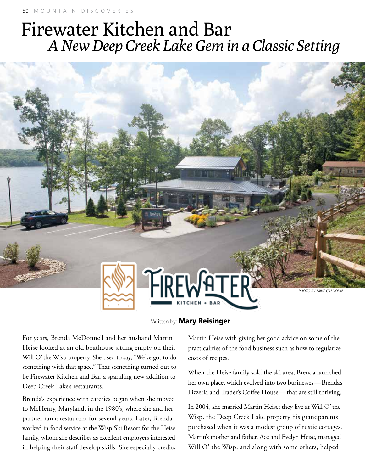## Firewater Kitchen and Bar *A New Deep Creek Lake Gem in a Classic Setting*



## Written by: **Mary Reisinger**

For years, Brenda McDonnell and her husband Martin Heise looked at an old boathouse sitting empty on their Will O' the Wisp property. She used to say, "We've got to do something with that space." That something turned out to be Firewater Kitchen and Bar, a sparkling new addition to Deep Creek Lake's restaurants.

Brenda's experience with eateries began when she moved to McHenry, Maryland, in the 1980's, where she and her partner ran a restaurant for several years. Later, Brenda worked in food service at the Wisp Ski Resort for the Heise family, whom she describes as excellent employers interested in helping their staff develop skills. She especially credits

Martin Heise with giving her good advice on some of the practicalities of the food business such as how to regularize costs of recipes.

When the Heise family sold the ski area, Brenda launched her own place, which evolved into two businesses—Brenda's Pizzeria and Trader's Coffee House—that are still thriving.

In 2004, she married Martin Heise; they live at Will O' the Wisp, the Deep Creek Lake property his grandparents purchased when it was a modest group of rustic cottages. Martin's mother and father, Ace and Evelyn Heise, managed Will O' the Wisp, and along with some others, helped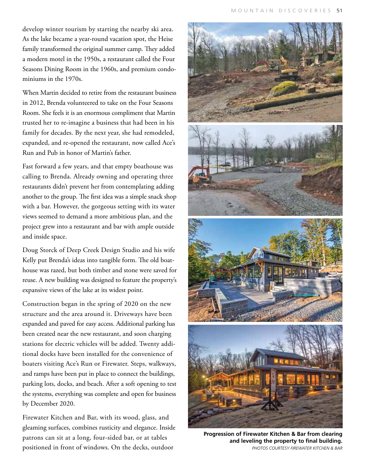develop winter tourism by starting the nearby ski area. As the lake became a year-round vacation spot, the Heise family transformed the original summer camp. They added a modern motel in the 1950s, a restaurant called the Four Seasons Dining Room in the 1960s, and premium condominiums in the 1970s.

When Martin decided to retire from the restaurant business in 2012, Brenda volunteered to take on the Four Seasons Room. She feels it is an enormous compliment that Martin trusted her to re-imagine a business that had been in his family for decades. By the next year, she had remodeled, expanded, and re-opened the restaurant, now called Ace's Run and Pub in honor of Martin's father.

Fast forward a few years, and that empty boathouse was calling to Brenda. Already owning and operating three restaurants didn't prevent her from contemplating adding another to the group. The first idea was a simple snack shop with a bar. However, the gorgeous setting with its water views seemed to demand a more ambitious plan, and the project grew into a restaurant and bar with ample outside and inside space.

Doug Storck of Deep Creek Design Studio and his wife Kelly put Brenda's ideas into tangible form. The old boathouse was razed, but both timber and stone were saved for reuse. A new building was designed to feature the property's expansive views of the lake at its widest point.

Construction began in the spring of 2020 on the new structure and the area around it. Driveways have been expanded and paved for easy access. Additional parking has been created near the new restaurant, and soon charging stations for electric vehicles will be added. Twenty additional docks have been installed for the convenience of boaters visiting Ace's Run or Firewater. Steps, walkways, and ramps have been put in place to connect the buildings, parking lots, docks, and beach. After a soft opening to test the systems, everything was complete and open for business by December 2020.

Firewater Kitchen and Bar, with its wood, glass, and gleaming surfaces, combines rusticity and elegance. Inside patrons can sit at a long, four-sided bar, or at tables positioned in front of windows. On the decks, outdoor



**Progression of Firewater Kitchen & Bar from clearing and leveling the property to final building.** *Photos courtesy Firewater Kitchen & Bar*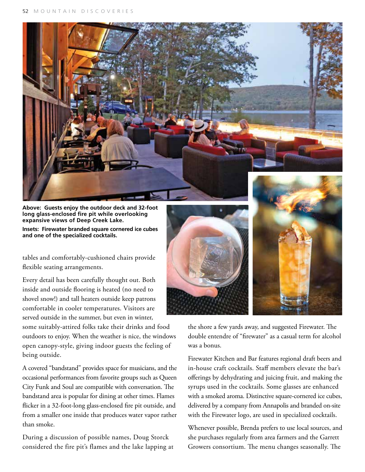

**Above: Guests enjoy the outdoor deck and 32-foot long glass-enclosed fire pit while overlooking expansive views of Deep Creek Lake.**

**Insets: Firewater branded square cornered ice cubes and one of the specialized cocktails.**

tables and comfortably-cushioned chairs provide flexible seating arrangements.

Every detail has been carefully thought out. Both inside and outside flooring is heated (no need to shovel snow!) and tall heaters outside keep patrons comfortable in cooler temperatures. Visitors are served outside in the summer, but even in winter,

some suitably-attired folks take their drinks and food outdoors to enjoy. When the weather is nice, the windows open canopy-style, giving indoor guests the feeling of being outside.

A covered "bandstand" provides space for musicians, and the occasional performances from favorite groups such as Queen City Funk and Soul are compatible with conversation. The bandstand area is popular for dining at other times. Flames flicker in a 32-foot-long glass-enclosed fire pit outside, and from a smaller one inside that produces water vapor rather than smoke.

During a discussion of possible names, Doug Storck considered the fire pit's flames and the lake lapping at





the shore a few yards away, and suggested Firewater. The double entendre of "firewater" as a casual term for alcohol was a bonus.

Firewater Kitchen and Bar features regional draft beers and in-house craft cocktails. Staff members elevate the bar's offerings by dehydrating and juicing fruit, and making the syrups used in the cocktails. Some glasses are enhanced with a smoked aroma. Distinctive square-cornered ice cubes, delivered by a company from Annapolis and branded on-site with the Firewater logo, are used in specialized cocktails.

Whenever possible, Brenda prefers to use local sources, and she purchases regularly from area farmers and the Garrett Growers consortium. The menu changes seasonally. The